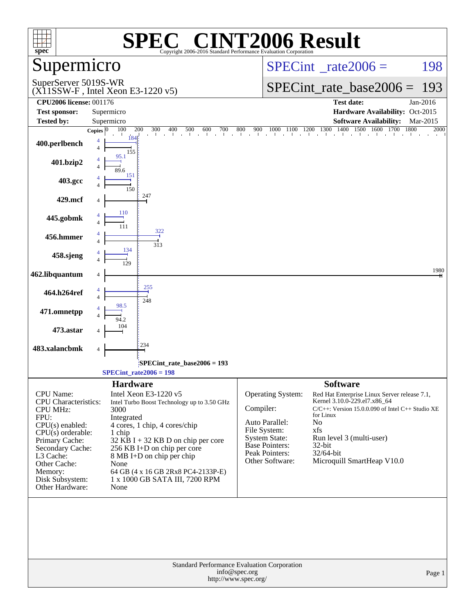| spec <sup>®</sup>                                                                                                      | $\lceil$ $\lceil$ $\lceil$ $\lceil$ $\rceil$<br>SPE<br>Copyright 2006-2016 Standard Performance Evaluation Corporation                         | <b>INT2006 Result</b>                                                                                                                                                                                                               |
|------------------------------------------------------------------------------------------------------------------------|------------------------------------------------------------------------------------------------------------------------------------------------|-------------------------------------------------------------------------------------------------------------------------------------------------------------------------------------------------------------------------------------|
| Supermicro                                                                                                             |                                                                                                                                                | $SPECint^{\circ}$ rate $2006 =$<br>198                                                                                                                                                                                              |
| SuperServer 5019S-WR                                                                                                   | $(X11SSW-F$ , Intel Xeon E3-1220 v5)                                                                                                           | $SPECint_rate\_base2006 =$<br>193                                                                                                                                                                                                   |
| <b>CPU2006 license: 001176</b>                                                                                         |                                                                                                                                                | <b>Test date:</b><br>Jan-2016                                                                                                                                                                                                       |
| <b>Test sponsor:</b>                                                                                                   | Supermicro                                                                                                                                     | Hardware Availability: Oct-2015                                                                                                                                                                                                     |
| <b>Tested by:</b>                                                                                                      | Supermicro<br>100<br>200<br>Copies $ 0\rangle$                                                                                                 | <b>Software Availability:</b><br>Mar-2015<br>2000                                                                                                                                                                                   |
| 400.perlbench                                                                                                          | 184<br>155                                                                                                                                     |                                                                                                                                                                                                                                     |
| 401.bzip2                                                                                                              | 95.1                                                                                                                                           |                                                                                                                                                                                                                                     |
| 403.gcc                                                                                                                | 151<br>150                                                                                                                                     |                                                                                                                                                                                                                                     |
| 429.mcf                                                                                                                | 247                                                                                                                                            |                                                                                                                                                                                                                                     |
| 445.gobmk                                                                                                              | 110<br>322                                                                                                                                     |                                                                                                                                                                                                                                     |
| 456.hmmer                                                                                                              | 313<br>134                                                                                                                                     |                                                                                                                                                                                                                                     |
| 458.sjeng                                                                                                              |                                                                                                                                                |                                                                                                                                                                                                                                     |
| 462.libquantum                                                                                                         | 255                                                                                                                                            | 1980                                                                                                                                                                                                                                |
| 464.h264ref                                                                                                            | 248                                                                                                                                            |                                                                                                                                                                                                                                     |
| 471.omnetpp                                                                                                            |                                                                                                                                                |                                                                                                                                                                                                                                     |
| 473.astar<br>483.xalancbmk                                                                                             | 234                                                                                                                                            |                                                                                                                                                                                                                                     |
|                                                                                                                        | 4                                                                                                                                              |                                                                                                                                                                                                                                     |
|                                                                                                                        | $SPECint$ rate_base2006 = 193<br>$SPECTnt_rate2006 = 198$                                                                                      |                                                                                                                                                                                                                                     |
|                                                                                                                        | <b>Hardware</b>                                                                                                                                | <b>Software</b>                                                                                                                                                                                                                     |
| <b>CPU</b> Name:<br><b>CPU</b> Characteristics:<br><b>CPU MHz:</b><br>FPU:<br>$CPU(s)$ enabled:<br>$CPU(s)$ orderable: | Intel Xeon E3-1220 v5<br>Intel Turbo Boost Technology up to 3.50 GHz<br>3000<br>Integrated<br>4 cores, 1 chip, 4 cores/chip<br>1 chip          | Operating System:<br>Red Hat Enterprise Linux Server release 7.1,<br>Kernel 3.10.0-229.el7.x86_64<br>Compiler:<br>$C/C++$ : Version 15.0.0.090 of Intel $C++$ Studio XE<br>for Linux<br>Auto Parallel:<br>No<br>File System:<br>xfs |
| Primary Cache:<br>Secondary Cache:<br>L3 Cache:<br>Other Cache:<br>Memory:                                             | $32$ KB I + 32 KB D on chip per core<br>256 KB I+D on chip per core<br>8 MB I+D on chip per chip<br>None<br>64 GB (4 x 16 GB 2Rx8 PC4-2133P-E) | <b>System State:</b><br>Run level 3 (multi-user)<br><b>Base Pointers:</b><br>$32$ -bit<br>Peak Pointers:<br>32/64-bit<br>Microquill SmartHeap V10.0<br>Other Software:                                                              |
| Disk Subsystem:<br>Other Hardware:                                                                                     | 1 x 1000 GB SATA III, 7200 RPM<br>None                                                                                                         |                                                                                                                                                                                                                                     |
|                                                                                                                        | Standard Performance Evaluation Corporation<br>info@spec.org<br>http://www.spec.org/                                                           | Page 1                                                                                                                                                                                                                              |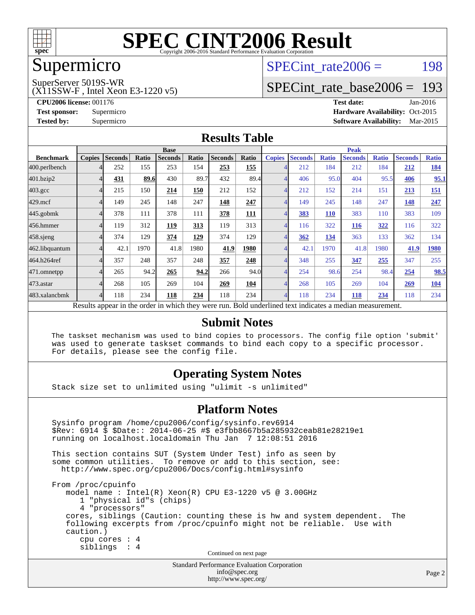

## Supermicro

#### SuperServer 5019S-WR

(X11SSW-F , Intel Xeon E3-1220 v5)

SPECint rate $2006 =$  198

## [SPECint\\_rate\\_base2006 =](http://www.spec.org/auto/cpu2006/Docs/result-fields.html#SPECintratebase2006) 193

**[CPU2006 license:](http://www.spec.org/auto/cpu2006/Docs/result-fields.html#CPU2006license)** 001176 **[Test date:](http://www.spec.org/auto/cpu2006/Docs/result-fields.html#Testdate)** Jan-2016 **[Test sponsor:](http://www.spec.org/auto/cpu2006/Docs/result-fields.html#Testsponsor)** Supermicro Supermicro **[Hardware Availability:](http://www.spec.org/auto/cpu2006/Docs/result-fields.html#HardwareAvailability)** Oct-2015 **[Tested by:](http://www.spec.org/auto/cpu2006/Docs/result-fields.html#Testedby)** Supermicro **Supermicro [Software Availability:](http://www.spec.org/auto/cpu2006/Docs/result-fields.html#SoftwareAvailability)** Mar-2015

#### **[Results Table](http://www.spec.org/auto/cpu2006/Docs/result-fields.html#ResultsTable)**

|                    | <b>Base</b>   |                |       |                                                                |       |                |            | <b>Peak</b>   |                                                                       |              |                |              |                |              |
|--------------------|---------------|----------------|-------|----------------------------------------------------------------|-------|----------------|------------|---------------|-----------------------------------------------------------------------|--------------|----------------|--------------|----------------|--------------|
| <b>Benchmark</b>   | <b>Copies</b> | <b>Seconds</b> | Ratio | <b>Seconds</b>                                                 | Ratio | <b>Seconds</b> | Ratio      | <b>Copies</b> | <b>Seconds</b>                                                        | <b>Ratio</b> | <b>Seconds</b> | <b>Ratio</b> | <b>Seconds</b> | <b>Ratio</b> |
| 400.perlbench      |               | 252            | 155   | 253                                                            | 154   | 253            | 155        |               | 212                                                                   | 184          | 212            | 184          | 212            | <b>184</b>   |
| 401.bzip2          |               | 431            | 89.6  | 430                                                            | 89.7  | 432            | 89.4       |               | 406                                                                   | 95.0         | 404            | 95.5         | 406            | 95.1         |
| $403.\mathrm{gcc}$ |               | 215            | 150   | 214                                                            | 150   | 212            | 152        |               | 212                                                                   | 152          | 214            | 151          | 213            | <u>151</u>   |
| $429$ .mcf         |               | 149            | 245   | 148                                                            | 247   | 148            | 247        |               | 149                                                                   | 245          | 148            | 247          | 148            | 247          |
| $445$ .gobmk       |               | 378            | 111   | 378                                                            | 111   | 378            | <b>111</b> |               | 383                                                                   | 110          | 383            | 110          | 383            | 109          |
| 456.hmmer          |               | 119            | 312   | 119                                                            | 313   | 119            | 313        |               | 116                                                                   | 322          | <b>116</b>     | 322          | 116            | 322          |
| $458$ .sjeng       |               | 374            | 129   | 374                                                            | 129   | 374            | 129        |               | 362                                                                   | 134          | 363            | 133          | 362            | 134          |
| 462.libquantum     |               | 42.1           | 1970  | 41.8                                                           | 1980  | 41.9           | 1980       |               | 42.1                                                                  | 1970         | 41.8           | 1980         | 41.9           | 1980         |
| 464.h264ref        |               | 357            | 248   | 357                                                            | 248   | 357            | 248        |               | 348                                                                   | 255          | 347            | 255          | 347            | 255          |
| 471.omnetpp        |               | 265            | 94.2  | 265                                                            | 94.2  | 266            | 94.0       |               | 254                                                                   | 98.6         | 254            | 98.4         | 254            | 98.5         |
| 473.astar          |               | 268            | 105   | 269                                                            | 104   | 269            | 104        |               | 268                                                                   | 105          | 269            | 104          | 269            | 104          |
| 483.xalancbmk      |               | 118            | 234   | 118                                                            | 234   | 118            | 234        |               | 118                                                                   | 234          | 118            | 234          | 118            | 234          |
|                    |               |                |       | Described and can be the condensing colorate the concerns more |       |                |            |               | . Die 14 see deel en dit ook in die steen naar die naam en ontwerpent |              |                |              |                |              |

Results appear in the [order in which they were run.](http://www.spec.org/auto/cpu2006/Docs/result-fields.html#RunOrder) Bold underlined text [indicates a median measurement.](http://www.spec.org/auto/cpu2006/Docs/result-fields.html#Median)

#### **[Submit Notes](http://www.spec.org/auto/cpu2006/Docs/result-fields.html#SubmitNotes)**

 The taskset mechanism was used to bind copies to processors. The config file option 'submit' was used to generate taskset commands to bind each copy to a specific processor. For details, please see the config file.

#### **[Operating System Notes](http://www.spec.org/auto/cpu2006/Docs/result-fields.html#OperatingSystemNotes)**

Stack size set to unlimited using "ulimit -s unlimited"

#### **[Platform Notes](http://www.spec.org/auto/cpu2006/Docs/result-fields.html#PlatformNotes)**

Standard Performance Evaluation Corporation Sysinfo program /home/cpu2006/config/sysinfo.rev6914 \$Rev: 6914 \$ \$Date:: 2014-06-25 #\$ e3fbb8667b5a285932ceab81e28219e1 running on localhost.localdomain Thu Jan 7 12:08:51 2016 This section contains SUT (System Under Test) info as seen by some common utilities. To remove or add to this section, see: <http://www.spec.org/cpu2006/Docs/config.html#sysinfo> From /proc/cpuinfo model name : Intel(R) Xeon(R) CPU E3-1220 v5 @ 3.00GHz 1 "physical id"s (chips) 4 "processors" cores, siblings (Caution: counting these is hw and system dependent. The following excerpts from /proc/cpuinfo might not be reliable. Use with caution.) cpu cores : 4 siblings : 4 Continued on next page

[info@spec.org](mailto:info@spec.org) <http://www.spec.org/>

Page 2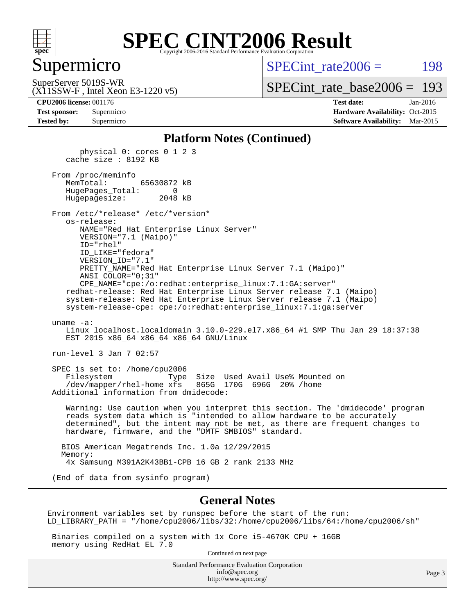

### Supermicro

SPECint rate $2006 =$  198

(X11SSW-F , Intel Xeon E3-1220 v5) SuperServer 5019S-WR

[SPECint\\_rate\\_base2006 =](http://www.spec.org/auto/cpu2006/Docs/result-fields.html#SPECintratebase2006) 193

**[CPU2006 license:](http://www.spec.org/auto/cpu2006/Docs/result-fields.html#CPU2006license)** 001176 **[Test date:](http://www.spec.org/auto/cpu2006/Docs/result-fields.html#Testdate)** Jan-2016 **[Test sponsor:](http://www.spec.org/auto/cpu2006/Docs/result-fields.html#Testsponsor)** Supermicro Supermicro **[Hardware Availability:](http://www.spec.org/auto/cpu2006/Docs/result-fields.html#HardwareAvailability)** Oct-2015 **[Tested by:](http://www.spec.org/auto/cpu2006/Docs/result-fields.html#Testedby)** Supermicro **Supermicro [Software Availability:](http://www.spec.org/auto/cpu2006/Docs/result-fields.html#SoftwareAvailability)** Mar-2015

#### **[Platform Notes \(Continued\)](http://www.spec.org/auto/cpu2006/Docs/result-fields.html#PlatformNotes)**

 physical 0: cores 0 1 2 3 cache size : 8192 KB From /proc/meminfo MemTotal: 65630872 kB HugePages\_Total: 0 Hugepagesize: 2048 kB From /etc/\*release\* /etc/\*version\* os-release: NAME="Red Hat Enterprise Linux Server" VERSION="7.1 (Maipo)" ID="rhel" ID\_LIKE="fedora" VERSION\_ID="7.1" PRETTY\_NAME="Red Hat Enterprise Linux Server 7.1 (Maipo)" ANSI\_COLOR="0;31" CPE\_NAME="cpe:/o:redhat:enterprise\_linux:7.1:GA:server" redhat-release: Red Hat Enterprise Linux Server release 7.1 (Maipo) system-release: Red Hat Enterprise Linux Server release 7.1 (Maipo) system-release-cpe: cpe:/o:redhat:enterprise\_linux:7.1:ga:server uname -a: Linux localhost.localdomain 3.10.0-229.el7.x86\_64 #1 SMP Thu Jan 29 18:37:38 EST 2015 x86 64 x86 64 x86 64 GNU/Linux run-level 3 Jan 7 02:57 SPEC is set to: /home/cpu2006 Filesystem Type Size Used Avail Use% Mounted on /dev/mapper/rhel-home xfs 865G 170G 696G 20% /home Additional information from dmidecode: Warning: Use caution when you interpret this section. The 'dmidecode' program reads system data which is "intended to allow hardware to be accurately determined", but the intent may not be met, as there are frequent changes to hardware, firmware, and the "DMTF SMBIOS" standard. BIOS American Megatrends Inc. 1.0a 12/29/2015 Memory:

4x Samsung M391A2K43BB1-CPB 16 GB 2 rank 2133 MHz

(End of data from sysinfo program)

#### **[General Notes](http://www.spec.org/auto/cpu2006/Docs/result-fields.html#GeneralNotes)**

Environment variables set by runspec before the start of the run: LD\_LIBRARY\_PATH = "/home/cpu2006/libs/32:/home/cpu2006/libs/64:/home/cpu2006/sh"

 Binaries compiled on a system with 1x Core i5-4670K CPU + 16GB memory using RedHat EL 7.0

Continued on next page

Standard Performance Evaluation Corporation [info@spec.org](mailto:info@spec.org) <http://www.spec.org/>

Page 3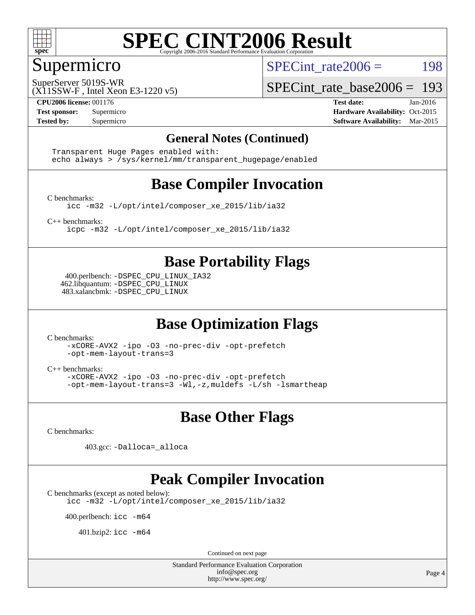

### Supermicro

SPECint rate $2006 =$  198

(X11SSW-F , Intel Xeon E3-1220 v5) SuperServer 5019S-WR

[SPECint\\_rate\\_base2006 =](http://www.spec.org/auto/cpu2006/Docs/result-fields.html#SPECintratebase2006) 193

**[CPU2006 license:](http://www.spec.org/auto/cpu2006/Docs/result-fields.html#CPU2006license)** 001176 **[Test date:](http://www.spec.org/auto/cpu2006/Docs/result-fields.html#Testdate)** Jan-2016 **[Test sponsor:](http://www.spec.org/auto/cpu2006/Docs/result-fields.html#Testsponsor)** Supermicro Supermicro **[Hardware Availability:](http://www.spec.org/auto/cpu2006/Docs/result-fields.html#HardwareAvailability)** Oct-2015 **[Tested by:](http://www.spec.org/auto/cpu2006/Docs/result-fields.html#Testedby)** Supermicro **Supermicro [Software Availability:](http://www.spec.org/auto/cpu2006/Docs/result-fields.html#SoftwareAvailability)** Mar-2015

#### **[General Notes \(Continued\)](http://www.spec.org/auto/cpu2006/Docs/result-fields.html#GeneralNotes)**

 Transparent Huge Pages enabled with: echo always > /sys/kernel/mm/transparent\_hugepage/enabled

### **[Base Compiler Invocation](http://www.spec.org/auto/cpu2006/Docs/result-fields.html#BaseCompilerInvocation)**

[C benchmarks](http://www.spec.org/auto/cpu2006/Docs/result-fields.html#Cbenchmarks):

[icc -m32 -L/opt/intel/composer\\_xe\\_2015/lib/ia32](http://www.spec.org/cpu2006/results/res2016q1/cpu2006-20160111-38661.flags.html#user_CCbase_intel_icc_011b86df29f8c679b747245588698a4d)

[C++ benchmarks:](http://www.spec.org/auto/cpu2006/Docs/result-fields.html#CXXbenchmarks)

[icpc -m32 -L/opt/intel/composer\\_xe\\_2015/lib/ia32](http://www.spec.org/cpu2006/results/res2016q1/cpu2006-20160111-38661.flags.html#user_CXXbase_intel_icpc_c2c99686a1a582c3e0de0b4806b02cea)

### **[Base Portability Flags](http://www.spec.org/auto/cpu2006/Docs/result-fields.html#BasePortabilityFlags)**

 400.perlbench: [-DSPEC\\_CPU\\_LINUX\\_IA32](http://www.spec.org/cpu2006/results/res2016q1/cpu2006-20160111-38661.flags.html#b400.perlbench_baseCPORTABILITY_DSPEC_CPU_LINUX_IA32) 462.libquantum: [-DSPEC\\_CPU\\_LINUX](http://www.spec.org/cpu2006/results/res2016q1/cpu2006-20160111-38661.flags.html#b462.libquantum_baseCPORTABILITY_DSPEC_CPU_LINUX) 483.xalancbmk: [-DSPEC\\_CPU\\_LINUX](http://www.spec.org/cpu2006/results/res2016q1/cpu2006-20160111-38661.flags.html#b483.xalancbmk_baseCXXPORTABILITY_DSPEC_CPU_LINUX)

### **[Base Optimization Flags](http://www.spec.org/auto/cpu2006/Docs/result-fields.html#BaseOptimizationFlags)**

[C benchmarks](http://www.spec.org/auto/cpu2006/Docs/result-fields.html#Cbenchmarks):

[-xCORE-AVX2](http://www.spec.org/cpu2006/results/res2016q1/cpu2006-20160111-38661.flags.html#user_CCbase_f-xAVX2_5f5fc0cbe2c9f62c816d3e45806c70d7) [-ipo](http://www.spec.org/cpu2006/results/res2016q1/cpu2006-20160111-38661.flags.html#user_CCbase_f-ipo) [-O3](http://www.spec.org/cpu2006/results/res2016q1/cpu2006-20160111-38661.flags.html#user_CCbase_f-O3) [-no-prec-div](http://www.spec.org/cpu2006/results/res2016q1/cpu2006-20160111-38661.flags.html#user_CCbase_f-no-prec-div) [-opt-prefetch](http://www.spec.org/cpu2006/results/res2016q1/cpu2006-20160111-38661.flags.html#user_CCbase_f-opt-prefetch) [-opt-mem-layout-trans=3](http://www.spec.org/cpu2006/results/res2016q1/cpu2006-20160111-38661.flags.html#user_CCbase_f-opt-mem-layout-trans_a7b82ad4bd7abf52556d4961a2ae94d5)

[C++ benchmarks:](http://www.spec.org/auto/cpu2006/Docs/result-fields.html#CXXbenchmarks)

[-xCORE-AVX2](http://www.spec.org/cpu2006/results/res2016q1/cpu2006-20160111-38661.flags.html#user_CXXbase_f-xAVX2_5f5fc0cbe2c9f62c816d3e45806c70d7) [-ipo](http://www.spec.org/cpu2006/results/res2016q1/cpu2006-20160111-38661.flags.html#user_CXXbase_f-ipo) [-O3](http://www.spec.org/cpu2006/results/res2016q1/cpu2006-20160111-38661.flags.html#user_CXXbase_f-O3) [-no-prec-div](http://www.spec.org/cpu2006/results/res2016q1/cpu2006-20160111-38661.flags.html#user_CXXbase_f-no-prec-div) [-opt-prefetch](http://www.spec.org/cpu2006/results/res2016q1/cpu2006-20160111-38661.flags.html#user_CXXbase_f-opt-prefetch) [-opt-mem-layout-trans=3](http://www.spec.org/cpu2006/results/res2016q1/cpu2006-20160111-38661.flags.html#user_CXXbase_f-opt-mem-layout-trans_a7b82ad4bd7abf52556d4961a2ae94d5) [-Wl,-z,muldefs](http://www.spec.org/cpu2006/results/res2016q1/cpu2006-20160111-38661.flags.html#user_CXXbase_link_force_multiple1_74079c344b956b9658436fd1b6dd3a8a) [-L/sh -lsmartheap](http://www.spec.org/cpu2006/results/res2016q1/cpu2006-20160111-38661.flags.html#user_CXXbase_SmartHeap_32f6c82aa1ed9c52345d30cf6e4a0499)

#### **[Base Other Flags](http://www.spec.org/auto/cpu2006/Docs/result-fields.html#BaseOtherFlags)**

[C benchmarks](http://www.spec.org/auto/cpu2006/Docs/result-fields.html#Cbenchmarks):

403.gcc: [-Dalloca=\\_alloca](http://www.spec.org/cpu2006/results/res2016q1/cpu2006-20160111-38661.flags.html#b403.gcc_baseEXTRA_CFLAGS_Dalloca_be3056838c12de2578596ca5467af7f3)

#### **[Peak Compiler Invocation](http://www.spec.org/auto/cpu2006/Docs/result-fields.html#PeakCompilerInvocation)**

[C benchmarks \(except as noted below\)](http://www.spec.org/auto/cpu2006/Docs/result-fields.html#Cbenchmarksexceptasnotedbelow):

[icc -m32 -L/opt/intel/composer\\_xe\\_2015/lib/ia32](http://www.spec.org/cpu2006/results/res2016q1/cpu2006-20160111-38661.flags.html#user_CCpeak_intel_icc_011b86df29f8c679b747245588698a4d)

400.perlbench: [icc -m64](http://www.spec.org/cpu2006/results/res2016q1/cpu2006-20160111-38661.flags.html#user_peakCCLD400_perlbench_intel_icc_64bit_bda6cc9af1fdbb0edc3795bac97ada53)

401.bzip2: [icc -m64](http://www.spec.org/cpu2006/results/res2016q1/cpu2006-20160111-38661.flags.html#user_peakCCLD401_bzip2_intel_icc_64bit_bda6cc9af1fdbb0edc3795bac97ada53)

Continued on next page

Standard Performance Evaluation Corporation [info@spec.org](mailto:info@spec.org) <http://www.spec.org/>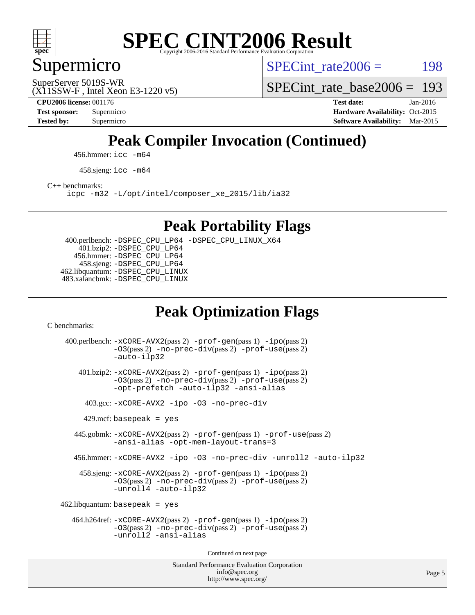

## Supermicro

SPECint rate $2006 =$  198

(X11SSW-F , Intel Xeon E3-1220 v5) SuperServer 5019S-WR

[SPECint\\_rate\\_base2006 =](http://www.spec.org/auto/cpu2006/Docs/result-fields.html#SPECintratebase2006) 193

**[CPU2006 license:](http://www.spec.org/auto/cpu2006/Docs/result-fields.html#CPU2006license)** 001176 **[Test date:](http://www.spec.org/auto/cpu2006/Docs/result-fields.html#Testdate)** Jan-2016 **[Test sponsor:](http://www.spec.org/auto/cpu2006/Docs/result-fields.html#Testsponsor)** Supermicro Supermicro **[Hardware Availability:](http://www.spec.org/auto/cpu2006/Docs/result-fields.html#HardwareAvailability)** Oct-2015 **[Tested by:](http://www.spec.org/auto/cpu2006/Docs/result-fields.html#Testedby)** Supermicro **Supermicro [Software Availability:](http://www.spec.org/auto/cpu2006/Docs/result-fields.html#SoftwareAvailability)** Mar-2015

## **[Peak Compiler Invocation \(Continued\)](http://www.spec.org/auto/cpu2006/Docs/result-fields.html#PeakCompilerInvocation)**

456.hmmer: [icc -m64](http://www.spec.org/cpu2006/results/res2016q1/cpu2006-20160111-38661.flags.html#user_peakCCLD456_hmmer_intel_icc_64bit_bda6cc9af1fdbb0edc3795bac97ada53)

458.sjeng: [icc -m64](http://www.spec.org/cpu2006/results/res2016q1/cpu2006-20160111-38661.flags.html#user_peakCCLD458_sjeng_intel_icc_64bit_bda6cc9af1fdbb0edc3795bac97ada53)

[C++ benchmarks:](http://www.spec.org/auto/cpu2006/Docs/result-fields.html#CXXbenchmarks)

[icpc -m32 -L/opt/intel/composer\\_xe\\_2015/lib/ia32](http://www.spec.org/cpu2006/results/res2016q1/cpu2006-20160111-38661.flags.html#user_CXXpeak_intel_icpc_c2c99686a1a582c3e0de0b4806b02cea)

#### **[Peak Portability Flags](http://www.spec.org/auto/cpu2006/Docs/result-fields.html#PeakPortabilityFlags)**

 400.perlbench: [-DSPEC\\_CPU\\_LP64](http://www.spec.org/cpu2006/results/res2016q1/cpu2006-20160111-38661.flags.html#b400.perlbench_peakCPORTABILITY_DSPEC_CPU_LP64) [-DSPEC\\_CPU\\_LINUX\\_X64](http://www.spec.org/cpu2006/results/res2016q1/cpu2006-20160111-38661.flags.html#b400.perlbench_peakCPORTABILITY_DSPEC_CPU_LINUX_X64) 401.bzip2: [-DSPEC\\_CPU\\_LP64](http://www.spec.org/cpu2006/results/res2016q1/cpu2006-20160111-38661.flags.html#suite_peakCPORTABILITY401_bzip2_DSPEC_CPU_LP64) 456.hmmer: [-DSPEC\\_CPU\\_LP64](http://www.spec.org/cpu2006/results/res2016q1/cpu2006-20160111-38661.flags.html#suite_peakCPORTABILITY456_hmmer_DSPEC_CPU_LP64) 458.sjeng: [-DSPEC\\_CPU\\_LP64](http://www.spec.org/cpu2006/results/res2016q1/cpu2006-20160111-38661.flags.html#suite_peakCPORTABILITY458_sjeng_DSPEC_CPU_LP64) 462.libquantum: [-DSPEC\\_CPU\\_LINUX](http://www.spec.org/cpu2006/results/res2016q1/cpu2006-20160111-38661.flags.html#b462.libquantum_peakCPORTABILITY_DSPEC_CPU_LINUX) 483.xalancbmk: [-DSPEC\\_CPU\\_LINUX](http://www.spec.org/cpu2006/results/res2016q1/cpu2006-20160111-38661.flags.html#b483.xalancbmk_peakCXXPORTABILITY_DSPEC_CPU_LINUX)

## **[Peak Optimization Flags](http://www.spec.org/auto/cpu2006/Docs/result-fields.html#PeakOptimizationFlags)**

[C benchmarks](http://www.spec.org/auto/cpu2006/Docs/result-fields.html#Cbenchmarks):

Standard Performance Evaluation Corporation [info@spec.org](mailto:info@spec.org) 400.perlbench: [-xCORE-AVX2](http://www.spec.org/cpu2006/results/res2016q1/cpu2006-20160111-38661.flags.html#user_peakPASS2_CFLAGSPASS2_LDCFLAGS400_perlbench_f-xAVX2_5f5fc0cbe2c9f62c816d3e45806c70d7)(pass 2) [-prof-gen](http://www.spec.org/cpu2006/results/res2016q1/cpu2006-20160111-38661.flags.html#user_peakPASS1_CFLAGSPASS1_LDCFLAGS400_perlbench_prof_gen_e43856698f6ca7b7e442dfd80e94a8fc)(pass 1) [-ipo](http://www.spec.org/cpu2006/results/res2016q1/cpu2006-20160111-38661.flags.html#user_peakPASS2_CFLAGSPASS2_LDCFLAGS400_perlbench_f-ipo)(pass 2) [-O3](http://www.spec.org/cpu2006/results/res2016q1/cpu2006-20160111-38661.flags.html#user_peakPASS2_CFLAGSPASS2_LDCFLAGS400_perlbench_f-O3)(pass 2) [-no-prec-div](http://www.spec.org/cpu2006/results/res2016q1/cpu2006-20160111-38661.flags.html#user_peakPASS2_CFLAGSPASS2_LDCFLAGS400_perlbench_f-no-prec-div)(pass 2) [-prof-use](http://www.spec.org/cpu2006/results/res2016q1/cpu2006-20160111-38661.flags.html#user_peakPASS2_CFLAGSPASS2_LDCFLAGS400_perlbench_prof_use_bccf7792157ff70d64e32fe3e1250b55)(pass 2) [-auto-ilp32](http://www.spec.org/cpu2006/results/res2016q1/cpu2006-20160111-38661.flags.html#user_peakCOPTIMIZE400_perlbench_f-auto-ilp32) 401.bzip2: [-xCORE-AVX2](http://www.spec.org/cpu2006/results/res2016q1/cpu2006-20160111-38661.flags.html#user_peakPASS2_CFLAGSPASS2_LDCFLAGS401_bzip2_f-xAVX2_5f5fc0cbe2c9f62c816d3e45806c70d7)(pass 2) [-prof-gen](http://www.spec.org/cpu2006/results/res2016q1/cpu2006-20160111-38661.flags.html#user_peakPASS1_CFLAGSPASS1_LDCFLAGS401_bzip2_prof_gen_e43856698f6ca7b7e442dfd80e94a8fc)(pass 1) [-ipo](http://www.spec.org/cpu2006/results/res2016q1/cpu2006-20160111-38661.flags.html#user_peakPASS2_CFLAGSPASS2_LDCFLAGS401_bzip2_f-ipo)(pass 2) [-O3](http://www.spec.org/cpu2006/results/res2016q1/cpu2006-20160111-38661.flags.html#user_peakPASS2_CFLAGSPASS2_LDCFLAGS401_bzip2_f-O3)(pass 2) [-no-prec-div](http://www.spec.org/cpu2006/results/res2016q1/cpu2006-20160111-38661.flags.html#user_peakPASS2_CFLAGSPASS2_LDCFLAGS401_bzip2_f-no-prec-div)(pass 2) [-prof-use](http://www.spec.org/cpu2006/results/res2016q1/cpu2006-20160111-38661.flags.html#user_peakPASS2_CFLAGSPASS2_LDCFLAGS401_bzip2_prof_use_bccf7792157ff70d64e32fe3e1250b55)(pass 2) [-opt-prefetch](http://www.spec.org/cpu2006/results/res2016q1/cpu2006-20160111-38661.flags.html#user_peakCOPTIMIZE401_bzip2_f-opt-prefetch) [-auto-ilp32](http://www.spec.org/cpu2006/results/res2016q1/cpu2006-20160111-38661.flags.html#user_peakCOPTIMIZE401_bzip2_f-auto-ilp32) [-ansi-alias](http://www.spec.org/cpu2006/results/res2016q1/cpu2006-20160111-38661.flags.html#user_peakCOPTIMIZE401_bzip2_f-ansi-alias) 403.gcc: [-xCORE-AVX2](http://www.spec.org/cpu2006/results/res2016q1/cpu2006-20160111-38661.flags.html#user_peakCOPTIMIZE403_gcc_f-xAVX2_5f5fc0cbe2c9f62c816d3e45806c70d7) [-ipo](http://www.spec.org/cpu2006/results/res2016q1/cpu2006-20160111-38661.flags.html#user_peakCOPTIMIZE403_gcc_f-ipo) [-O3](http://www.spec.org/cpu2006/results/res2016q1/cpu2006-20160111-38661.flags.html#user_peakCOPTIMIZE403_gcc_f-O3) [-no-prec-div](http://www.spec.org/cpu2006/results/res2016q1/cpu2006-20160111-38661.flags.html#user_peakCOPTIMIZE403_gcc_f-no-prec-div)  $429$ .mcf: basepeak = yes 445.gobmk: [-xCORE-AVX2](http://www.spec.org/cpu2006/results/res2016q1/cpu2006-20160111-38661.flags.html#user_peakPASS2_CFLAGSPASS2_LDCFLAGS445_gobmk_f-xAVX2_5f5fc0cbe2c9f62c816d3e45806c70d7)(pass 2) [-prof-gen](http://www.spec.org/cpu2006/results/res2016q1/cpu2006-20160111-38661.flags.html#user_peakPASS1_CFLAGSPASS1_LDCFLAGS445_gobmk_prof_gen_e43856698f6ca7b7e442dfd80e94a8fc)(pass 1) [-prof-use](http://www.spec.org/cpu2006/results/res2016q1/cpu2006-20160111-38661.flags.html#user_peakPASS2_CFLAGSPASS2_LDCFLAGS445_gobmk_prof_use_bccf7792157ff70d64e32fe3e1250b55)(pass 2) [-ansi-alias](http://www.spec.org/cpu2006/results/res2016q1/cpu2006-20160111-38661.flags.html#user_peakCOPTIMIZE445_gobmk_f-ansi-alias) [-opt-mem-layout-trans=3](http://www.spec.org/cpu2006/results/res2016q1/cpu2006-20160111-38661.flags.html#user_peakCOPTIMIZE445_gobmk_f-opt-mem-layout-trans_a7b82ad4bd7abf52556d4961a2ae94d5) 456.hmmer: [-xCORE-AVX2](http://www.spec.org/cpu2006/results/res2016q1/cpu2006-20160111-38661.flags.html#user_peakCOPTIMIZE456_hmmer_f-xAVX2_5f5fc0cbe2c9f62c816d3e45806c70d7) [-ipo](http://www.spec.org/cpu2006/results/res2016q1/cpu2006-20160111-38661.flags.html#user_peakCOPTIMIZE456_hmmer_f-ipo) [-O3](http://www.spec.org/cpu2006/results/res2016q1/cpu2006-20160111-38661.flags.html#user_peakCOPTIMIZE456_hmmer_f-O3) [-no-prec-div](http://www.spec.org/cpu2006/results/res2016q1/cpu2006-20160111-38661.flags.html#user_peakCOPTIMIZE456_hmmer_f-no-prec-div) [-unroll2](http://www.spec.org/cpu2006/results/res2016q1/cpu2006-20160111-38661.flags.html#user_peakCOPTIMIZE456_hmmer_f-unroll_784dae83bebfb236979b41d2422d7ec2) [-auto-ilp32](http://www.spec.org/cpu2006/results/res2016q1/cpu2006-20160111-38661.flags.html#user_peakCOPTIMIZE456_hmmer_f-auto-ilp32) 458.sjeng: [-xCORE-AVX2](http://www.spec.org/cpu2006/results/res2016q1/cpu2006-20160111-38661.flags.html#user_peakPASS2_CFLAGSPASS2_LDCFLAGS458_sjeng_f-xAVX2_5f5fc0cbe2c9f62c816d3e45806c70d7)(pass 2) [-prof-gen](http://www.spec.org/cpu2006/results/res2016q1/cpu2006-20160111-38661.flags.html#user_peakPASS1_CFLAGSPASS1_LDCFLAGS458_sjeng_prof_gen_e43856698f6ca7b7e442dfd80e94a8fc)(pass 1) [-ipo](http://www.spec.org/cpu2006/results/res2016q1/cpu2006-20160111-38661.flags.html#user_peakPASS2_CFLAGSPASS2_LDCFLAGS458_sjeng_f-ipo)(pass 2) [-O3](http://www.spec.org/cpu2006/results/res2016q1/cpu2006-20160111-38661.flags.html#user_peakPASS2_CFLAGSPASS2_LDCFLAGS458_sjeng_f-O3)(pass 2) [-no-prec-div](http://www.spec.org/cpu2006/results/res2016q1/cpu2006-20160111-38661.flags.html#user_peakPASS2_CFLAGSPASS2_LDCFLAGS458_sjeng_f-no-prec-div)(pass 2) [-prof-use](http://www.spec.org/cpu2006/results/res2016q1/cpu2006-20160111-38661.flags.html#user_peakPASS2_CFLAGSPASS2_LDCFLAGS458_sjeng_prof_use_bccf7792157ff70d64e32fe3e1250b55)(pass 2) [-unroll4](http://www.spec.org/cpu2006/results/res2016q1/cpu2006-20160111-38661.flags.html#user_peakCOPTIMIZE458_sjeng_f-unroll_4e5e4ed65b7fd20bdcd365bec371b81f) [-auto-ilp32](http://www.spec.org/cpu2006/results/res2016q1/cpu2006-20160111-38661.flags.html#user_peakCOPTIMIZE458_sjeng_f-auto-ilp32)  $462$ .libquantum: basepeak = yes 464.h264ref: [-xCORE-AVX2](http://www.spec.org/cpu2006/results/res2016q1/cpu2006-20160111-38661.flags.html#user_peakPASS2_CFLAGSPASS2_LDCFLAGS464_h264ref_f-xAVX2_5f5fc0cbe2c9f62c816d3e45806c70d7)(pass 2) [-prof-gen](http://www.spec.org/cpu2006/results/res2016q1/cpu2006-20160111-38661.flags.html#user_peakPASS1_CFLAGSPASS1_LDCFLAGS464_h264ref_prof_gen_e43856698f6ca7b7e442dfd80e94a8fc)(pass 1) [-ipo](http://www.spec.org/cpu2006/results/res2016q1/cpu2006-20160111-38661.flags.html#user_peakPASS2_CFLAGSPASS2_LDCFLAGS464_h264ref_f-ipo)(pass 2) [-O3](http://www.spec.org/cpu2006/results/res2016q1/cpu2006-20160111-38661.flags.html#user_peakPASS2_CFLAGSPASS2_LDCFLAGS464_h264ref_f-O3)(pass 2) [-no-prec-div](http://www.spec.org/cpu2006/results/res2016q1/cpu2006-20160111-38661.flags.html#user_peakPASS2_CFLAGSPASS2_LDCFLAGS464_h264ref_f-no-prec-div)(pass 2) [-prof-use](http://www.spec.org/cpu2006/results/res2016q1/cpu2006-20160111-38661.flags.html#user_peakPASS2_CFLAGSPASS2_LDCFLAGS464_h264ref_prof_use_bccf7792157ff70d64e32fe3e1250b55)(pass 2) [-unroll2](http://www.spec.org/cpu2006/results/res2016q1/cpu2006-20160111-38661.flags.html#user_peakCOPTIMIZE464_h264ref_f-unroll_784dae83bebfb236979b41d2422d7ec2) [-ansi-alias](http://www.spec.org/cpu2006/results/res2016q1/cpu2006-20160111-38661.flags.html#user_peakCOPTIMIZE464_h264ref_f-ansi-alias) Continued on next page

<http://www.spec.org/>